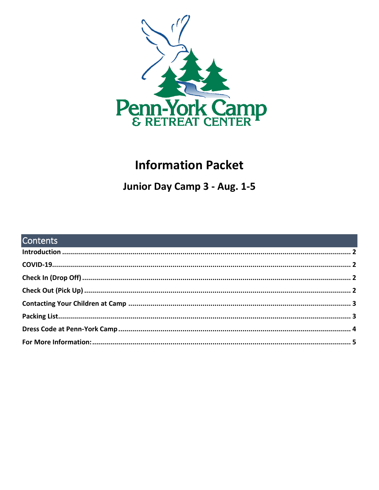

# **Information Packet**

Junior Day Camp 3 - Aug. 1-5

| <b>Contents Contents Contents Contents and Contents of Contents and Contents and Contents of Contents and Contents of Contents of Contents of Contents and Contents of Contents of Contents of Contents and Contents of Co</b> |  |
|--------------------------------------------------------------------------------------------------------------------------------------------------------------------------------------------------------------------------------|--|
|                                                                                                                                                                                                                                |  |
|                                                                                                                                                                                                                                |  |
|                                                                                                                                                                                                                                |  |
|                                                                                                                                                                                                                                |  |
|                                                                                                                                                                                                                                |  |
|                                                                                                                                                                                                                                |  |
|                                                                                                                                                                                                                                |  |
|                                                                                                                                                                                                                                |  |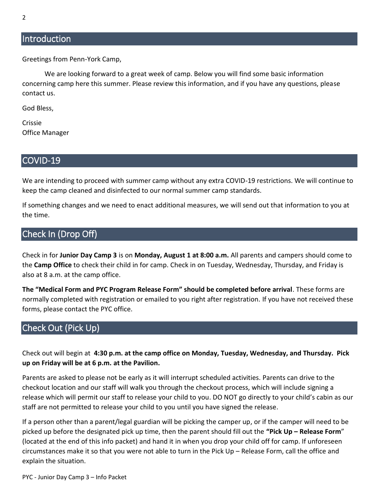## <span id="page-1-0"></span>**Introduction**

Greetings from Penn-York Camp,

We are looking forward to a great week of camp. Below you will find some basic information concerning camp here this summer. Please review this information, and if you have any questions, please contact us.

God Bless,

Crissie Office Manager

#### <span id="page-1-1"></span>COVID-19

We are intending to proceed with summer camp without any extra COVID-19 restrictions. We will continue to keep the camp cleaned and disinfected to our normal summer camp standards.

If something changes and we need to enact additional measures, we will send out that information to you at the time.

## <span id="page-1-2"></span>Check In (Drop Off)

Check in for **Junior Day Camp 3** is on **Monday, August 1 at 8:00 a.m.** All parents and campers should come to the **Camp Office** to check their child in for camp. Check in on Tuesday, Wednesday, Thursday, and Friday is also at 8 a.m. at the camp office.

**The "Medical Form and PYC Program Release Form" should be completed before arrival**. These forms are normally completed with registration or emailed to you right after registration. If you have not received these forms, please contact the PYC office.

## <span id="page-1-3"></span>Check Out (Pick Up)

Check out will begin at **4:30 p.m. at the camp office on Monday, Tuesday, Wednesday, and Thursday. Pick up on Friday will be at 6 p.m. at the Pavilion.**

Parents are asked to please not be early as it will interrupt scheduled activities. Parents can drive to the checkout location and our staff will walk you through the checkout process, which will include signing a release which will permit our staff to release your child to you. DO NOT go directly to your child's cabin as our staff are not permitted to release your child to you until you have signed the release.

If a person other than a parent/legal guardian will be picking the camper up, or if the camper will need to be picked up before the designated pick up time, then the parent should fill out the **"Pick Up – Release Form**" (located at the end of this info packet) and hand it in when you drop your child off for camp. If unforeseen circumstances make it so that you were not able to turn in the Pick Up – Release Form, call the office and explain the situation.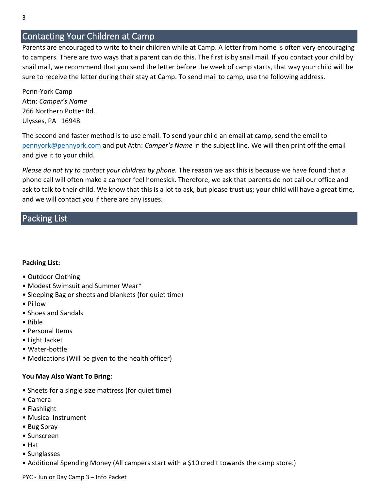## <span id="page-2-0"></span>Contacting Your Children at Camp

Parents are encouraged to write to their children while at Camp. A letter from home is often very encouraging to campers. There are two ways that a parent can do this. The first is by snail mail. If you contact your child by snail mail, we recommend that you send the letter before the week of camp starts, that way your child will be sure to receive the letter during their stay at Camp. To send mail to camp, use the following address.

Penn-York Camp Attn: *Camper's Name* 266 Northern Potter Rd. Ulysses, PA 16948

The second and faster method is to use email. To send your child an email at camp, send the email to [pennyork@pennyork.com](mailto:pennyork@pennyork.com) and put Attn: *Camper's Name* in the subject line. We will then print off the email and give it to your child.

*Please do not try to contact your children by phone.* The reason we ask this is because we have found that a phone call will often make a camper feel homesick. Therefore, we ask that parents do not call our office and ask to talk to their child. We know that this is a lot to ask, but please trust us; your child will have a great time, and we will contact you if there are any issues.

## <span id="page-2-1"></span>Packing List

#### **Packing List:**

- Outdoor Clothing
- Modest Swimsuit and Summer Wear\*
- Sleeping Bag or sheets and blankets (for quiet time)
- Pillow
- Shoes and Sandals
- Bible
- Personal Items
- Light Jacket
- Water-bottle
- Medications (Will be given to the health officer)

#### **You May Also Want To Bring:**

- Sheets for a single size mattress (for quiet time)
- Camera
- Flashlight
- Musical Instrument
- Bug Spray
- Sunscreen
- Hat
- Sunglasses
- Additional Spending Money (All campers start with a \$10 credit towards the camp store.)

PYC - Junior Day Camp 3 – Info Packet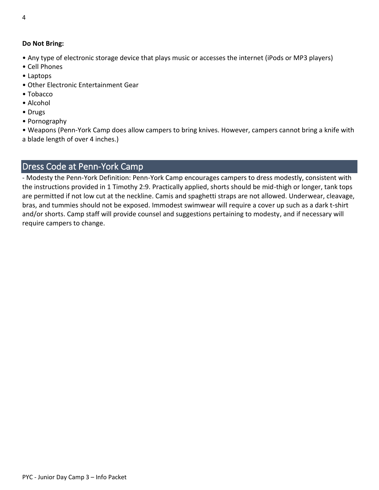#### **Do Not Bring:**

- Any type of electronic storage device that plays music or accesses the internet (iPods or MP3 players)
- Cell Phones
- Laptops
- Other Electronic Entertainment Gear
- Tobacco
- Alcohol
- Drugs
- Pornography

• Weapons (Penn-York Camp does allow campers to bring knives. However, campers cannot bring a knife with a blade length of over 4 inches.)

# <span id="page-3-0"></span>Dress Code at Penn-York Camp

- Modesty the Penn-York Definition: Penn-York Camp encourages campers to dress modestly, consistent with the instructions provided in 1 Timothy 2:9. Practically applied, shorts should be mid-thigh or longer, tank tops are permitted if not low cut at the neckline. Camis and spaghetti straps are not allowed. Underwear, cleavage, bras, and tummies should not be exposed. Immodest swimwear will require a cover up such as a dark t-shirt and/or shorts. Camp staff will provide counsel and suggestions pertaining to modesty, and if necessary will require campers to change.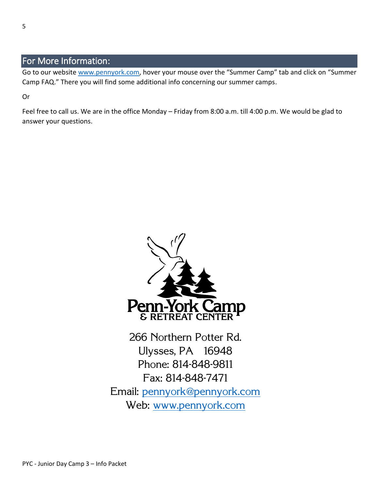## <span id="page-4-0"></span>For More Information:

Go to our website [www.pennyork.com,](http://www.pennyork.com/) hover your mouse over the "Summer Camp" tab and click on "Summer Camp FAQ." There you will find some additional info concerning our summer camps.

Or

Feel free to call us. We are in the office Monday – Friday from 8:00 a.m. till 4:00 p.m. We would be glad to answer your questions.